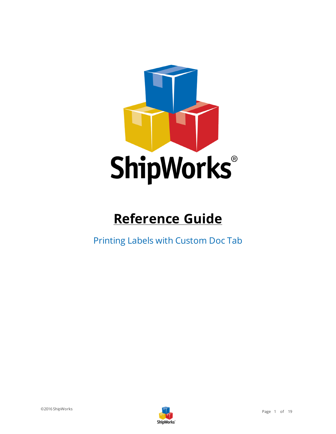

# **Reference Guide**

Printing Labels with Custom Doc Tab

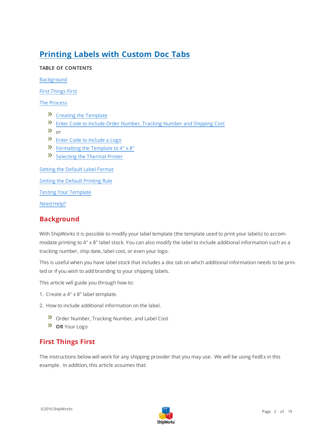# **Printing Labels with Custom Doc Tabs**

## **TABLE OF CONTENTS**

[Background](#page-1-0)

First [Things](#page-1-1) First

The [Process](#page-2-0)

- $\mathcal{V}$  Creating the [Template](#page-2-1)
- Enter Code to Include Order [Number,](#page-5-0) Tracking Number and Shipping Cost
- *or*
- **>>** Enter Code to [Include](#page-7-0) a Logo
- $\mathcal{P}$  [Formatting](#page-10-0) the Template to 4" x 8"
- $\mathcal{D}$  [Selecting](#page-13-0) the Thermal Printer

Setting the [Default](#page-14-0) Label Format

Setting the Default [Printing](#page-15-0) Rule

Testing Your [Template](#page-16-0)

<span id="page-1-0"></span>Need [Help?](#page-18-0)

# **Background**

With ShipWorks it is possible to modify your label template (the template used to print your labels) to accommodate printing to 4" x 8" label stock. You can also modify the label to include additional information such as a tracking number, ship date, label cost, or even your logo.

This is useful when you have label stock that includes a doc tab on which additional information needs to be printed or if you wish to add branding to your shipping labels.

This article will guide you through how to:

- 1. Create a 4" x 8" label template.
- 2. How to include additional information on the label.
	- **X** Order Number, Tracking Number, and Label Cost
	- **OR** Your Logo

# <span id="page-1-1"></span>**First Things First**

The instructions below will work for any shipping provider that you may use. We will be using FedEx in this example. In addition, this article assumes that:

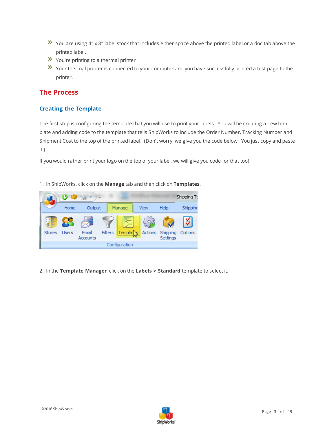- You are using  $4" \times 8"$  label stock that includes either space above the printed label or a doc tab above the printed label.
- $\mathcal{V}$  You're printing to a thermal printer
- Your thermal printer is connected to your computer and you have successfully printed a test page to the printer.

# <span id="page-2-1"></span><span id="page-2-0"></span>**The Process**

## **Creating the Template**

The first step is configuring the template that you will use to print your labels. You will be creating a new template and adding code to the template that tells ShipWorks to include the Order Number, Tracking Number and Shipment Cost to the top of the printed label. (Don't worry, we give you the code below. You just copy and paste it!)

If you would rather print your logo on the top of your label, we will give you code for that too!

1. In ShipWorks, click on the **Manage** tab and then click on **Templates**.



2. In the **Template Manager**, click on the **Labels > Standard** template to select it.

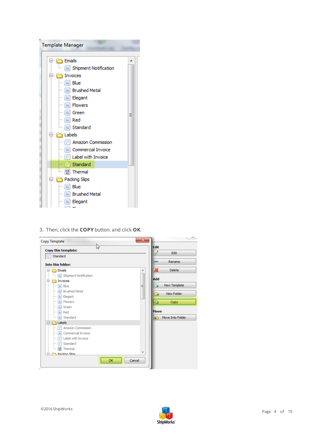

3. Then, click the **COPY** button. and click **OK**.



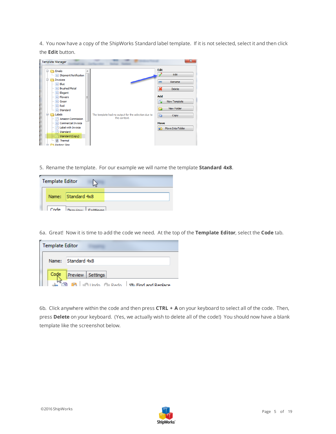4. You now have a copy of the ShipWorks Standard label template. If it is not selected, select it and then click the **Edit** button.

| <b>Template Manager</b>              |   |                                                     |             | Ж                |
|--------------------------------------|---|-----------------------------------------------------|-------------|------------------|
| Emails<br>⊟~                         |   |                                                     | <b>Edit</b> |                  |
| Shipment Notification<br>1.1.1.1     |   |                                                     |             | Edit             |
| Invoices<br>Eŀ                       |   |                                                     | <b>ABC</b>  | Rename           |
| $\blacksquare$ Blue<br>$\frac{1}{2}$ |   |                                                     |             |                  |
| <b>Brushed Metal</b><br>1.1.1        |   |                                                     | x           | <b>Delete</b>    |
| Elegant<br>1.1.1                     |   |                                                     |             |                  |
| <b>Flowers</b>                       | Ξ |                                                     | Add         |                  |
| Green<br>                            |   |                                                     | 属           | New Template     |
| Red<br>                              |   |                                                     |             | New Folder       |
| Standard<br>1.1.1.1                  |   |                                                     |             |                  |
| Labels<br>E                          |   | The template had no output for the selection due to | la.         | Copy             |
| Amazon Commission<br>ga.             |   | the context.                                        |             |                  |
| Commercial Invoice<br>:              |   |                                                     | <b>Move</b> |                  |
| Label with Invoice                   |   |                                                     | 崚           | Move Into Folder |
| <b>Standard</b><br>gf.               |   |                                                     |             |                  |
| Standard (Copy)<br>W.                |   |                                                     |             |                  |
| <b>Example 7</b> Thermal             |   |                                                     |             |                  |
| <b>B</b> Packing Slins               |   |                                                     |             |                  |

5. Rename the template. For our example we will name the template **Standard 4x8**.

| <b>Template Editor</b> |                    |  |
|------------------------|--------------------|--|
|                        | Name: Standard 4x8 |  |
| Code                   | Dearton Cattains   |  |

6a. Great! Now it is time to add the code we need. At the top of the **Template Editor**, select the **Code** tab.

| <b>Template Editor</b> |                                                            |
|------------------------|------------------------------------------------------------|
|                        | Name: Standard 4x8                                         |
| Code                   | Preview Settings                                           |
|                        | <b>Include OILRedo</b> St. Find and Renlace<br><b>Call</b> |

6b. Click anywhere within the code and then press **CTRL + A** on your keyboard to select all of the code. Then, press **Delete** on your keyboard. (Yes, we actually wish to delete all of the code!) You should now have a blank template like the screenshot below.

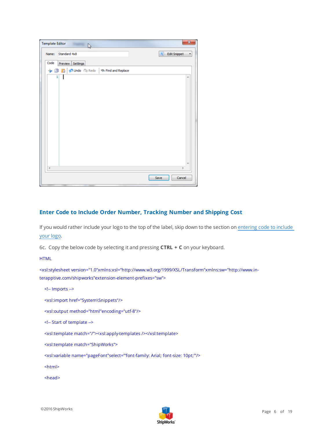| <b>Template Editor</b><br>V,                |                     | $\mathbf{x}$             |
|---------------------------------------------|---------------------|--------------------------|
| Name: Standard 4x8                          | <b>Edit Snippet</b> | $\overline{\phantom{a}}$ |
| Code<br>Preview Settings                    |                     |                          |
| + 3 1 to Undo fly Redo   % Find and Replace |                     |                          |
| 1                                           |                     | ×.                       |
|                                             |                     |                          |
|                                             |                     |                          |
|                                             |                     |                          |
|                                             |                     |                          |
|                                             |                     |                          |
|                                             |                     |                          |
|                                             |                     |                          |
|                                             |                     |                          |
|                                             |                     |                          |
| $\overline{a}$                              |                     |                          |
|                                             | Save<br>Cancel      |                          |
|                                             |                     |                          |

## <span id="page-5-0"></span>**Enter Code to Include Order Number, Tracking Number and Shipping Cost**

If you would rather include your logo to the top of the label, skip down to the section on [entering](#page-7-0) code to include [your](#page-7-0) logo.

6c. Copy the below code by selecting it and pressing **CTRL + C** on your keyboard.

HTML

<xsl:stylesheet version="1.0"xmlns:xsl="http://www.w3.org/1999/XSL/Transform"xmlns:sw="http://www.interapptive.com/shipworks"extension-element-prefixes="sw">

<!-- Imports -->

<xsl:import href="System\Snippets"/>

<xsl:output method="html"encoding="utf-8"/>

```
<!-- Start of template -->
```
<xsl:template match="/"><xsl:apply-templates /></xsl:template>

<xsl:template match="ShipWorks">

<xsl:variable name="pageFont"select="'font-family: Arial; font-size: 10pt;'"/>

<html>

<head>

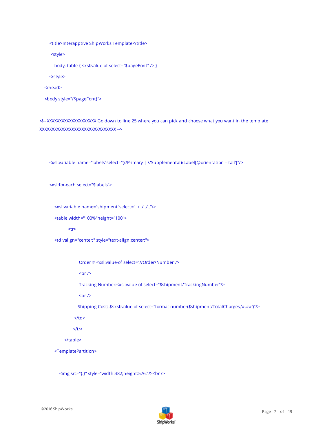<title>Interapptive ShipWorks Template</title>

<style>

body, table { <xsl:value-of select="\$pageFont" /> }

</style>

</head>

<body style="{\$pageFont}">

<!-- XXXXXXXXXXXXXXXXXXXX Go down to line 25 where you can pick and choose what you want in the template XXXXXXXXXXXXXXXXXXXXXXXXXXXXXXX -->

<xsl:variable name="labels"select="(//Primary | //Supplemental)/Label[@orientation ='tall']"/>

<xsl:for-each select="\$labels">

<xsl:variable name="shipment"select="../../../.."/>

<table width="100%"height="100">

<tr>

<td valign="center;" style="text-align:center;">

Order # <xsl:value-of select="//Order/Number"/>

 $2<sub>br</sub> /$ 

Tracking Number:<xsl:value-of select="\$shipment/TrackingNumber"/>

 $\text{br}$ />

Shipping Cost: \$<xsl:value-of select="format-number(\$shipment/TotalCharges,'#.##')"/>

 $\langle t \rangle$ 

 $\langle$ /tr $\rangle$ 

</table>

<TemplatePartition>

<img src="{.}" style="width:382;height:576;"/><br />

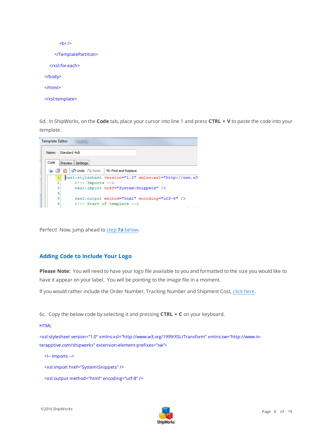| $br$ />    |  |
|------------|--|
|            |  |
|            |  |
| $<$ /body> |  |
| $<$ /html> |  |
|            |  |

6d. In ShipWorks, on the **Code** tab, place your cursor into line 1 and press **CTRL + V** to paste the code into your template.

| <b>Template Editor</b> |                                                               |
|------------------------|---------------------------------------------------------------|
| Name:                  | Standard 4x8                                                  |
| Code                   | <b>Preview</b><br><b>Settings</b>                             |
|                        | <b>16 Undo N</b> Redo <b>So Find and Replace</b>              |
|                        | Kxsl:stylesheet version="1.0" xmlns:xsl="http://www.w3<br>11  |
|                        | $\overline{2}$<br>$\leftarrow$ -- Imports -->                 |
|                        | 3<br><xsl:import href="System\Snippets"></xsl:import>         |
|                        | 4                                                             |
|                        | 5<br><xsl:output encoding="utf-8" method="html"></xsl:output> |
|                        | 6<br>Start of template                                        |

Perfect! Now, jump ahead to step **7a** [below](#page-10-0).

## <span id="page-7-0"></span>**Adding Code to Include Your Logo**

**Please Note:** You will need to have your logo file available to you and formatted to the size you would like to have it appear on your label. You will be pointing to the image file in a moment.

If you would rather include the Order Number, Tracking Number and Shipment Cost, click [here](#page-5-0).

6c. Copy the below code by selecting it and pressing **CTRL + C** on your keyboard.

#### HTML

<xsl:stylesheet version="1.0" xmlns:xsl="http://www.w3.org/1999/XSL/Transform" xmlns:sw="http://www.interapptive.com/shipworks" extension-element-prefixes="sw">

<!-- Imports -->

- <xsl:import href="System\Snippets" />
- <xsl:output method="html" encoding="utf-8" />

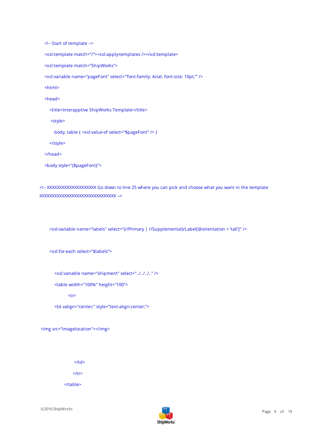```
<!-- Start of template -->
```
<xsl:template match="/"><xsl:apply-templates /></xsl:template>

<xsl:template match="ShipWorks">

<xsl:variable name="pageFont" select="'font-family: Arial; font-size: 10pt;'" />

<html>

<head>

<title>Interapptive ShipWorks Template</title>

<style>

body, table { <xsl:value-of select="\$pageFont" /> }

</style>

</head>

```
<body style="{$pageFont}">
```
<!-- XXXXXXXXXXXXXXXXXXXX Go down to line 25 where you can pick and choose what you want in the template XXXXXXXXXXXXXXXXXXXXXXXXXXXXXXX -->

<xsl:variable name="labels" select="(//Primary | //Supplemental)/Label[@orientation = 'tall']" />

<xsl:for-each select="\$labels">

<xsl:variable name="shipment" select="../../../.." />

<table width="100%" height="100">

#### <tr>

<td valign="center;" style="text-align:center;">

<img src="imagelocation"></img>

 $\langle t \rangle$  $\langle$ /tr>

</table>

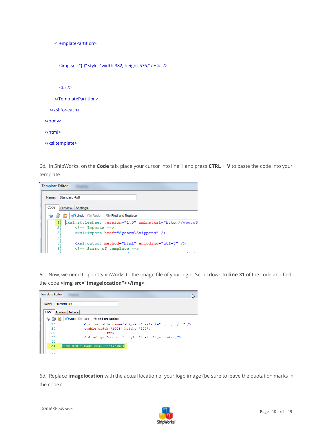```
<TemplatePartition>
       <img src="{.}" style="width:382; height:576;" /><br />
       \text{Br} />
    </TemplatePartition>
  </xsl:for-each>
</body>
</html>
</xsl:template>
```
6d. In ShipWorks, on the **Code** tab, place your cursor into line 1 and press **CTRL + V** to paste the code into your template.

| <b>Template Editor</b> |                                                                                                                                                                                                                                                                                                                                            |
|------------------------|--------------------------------------------------------------------------------------------------------------------------------------------------------------------------------------------------------------------------------------------------------------------------------------------------------------------------------------------|
| Name:                  | Standard 4x8                                                                                                                                                                                                                                                                                                                               |
| Code                   | Preview  <br><b>Settings</b>                                                                                                                                                                                                                                                                                                               |
|                        | <b>19 Undo</b> (2) Redo   % Find and Replace                                                                                                                                                                                                                                                                                               |
| 1)                     | <xsl:stylesheet system\snippets"="" version="1.0" xmlns:xsl="http://www.w3&lt;/th&gt;&lt;/tr&gt;&lt;tr&gt;&lt;td&gt;&lt;math&gt;\overline{2}&lt;/math&gt;&lt;/td&gt;&lt;td&gt;&lt;math&gt;\leftarrow&lt;/math&gt; -- Imports --&gt;&lt;/td&gt;&lt;/tr&gt;&lt;tr&gt;&lt;th&gt;3&lt;/th&gt;&lt;th&gt;&lt;xsl:import href="></xsl:stylesheet> |
| 4                      |                                                                                                                                                                                                                                                                                                                                            |
| 5                      | <xsl:output encoding="utf-8" method="html"></xsl:output>                                                                                                                                                                                                                                                                                   |
| 6)                     | $\langle$ !-- Start of template -->                                                                                                                                                                                                                                                                                                        |
|                        |                                                                                                                                                                                                                                                                                                                                            |

6c. Now, we need to point ShipWorks to the image file of your logo. Scroll down to **line 31** of the code and find the code **<img src="imagelocation"></img>**.

| <b>Template Editor</b> |         |              |                                                            |  |  |
|------------------------|---------|--------------|------------------------------------------------------------|--|--|
| Name:                  |         | Standard 4x8 |                                                            |  |  |
| Code                   | Preview | Settings     |                                                            |  |  |
|                        |         |              | + iii iii is Undo Qui Redo  <br>Find and Replace           |  |  |
| 261                    |         |              | <xsl:variable name="shipment" select="///"></xsl:variable> |  |  |
| 27                     |         |              | <table height="100" width="100%"></table>                  |  |  |
| 28 <sup>1</sup>        |         |              | <tr></tr>                                                  |  |  |
|                        |         |              |                                                            |  |  |
| 29                     |         |              | <td style="text-align:center;" valign="center;"></td>      |  |  |
| 30                     |         |              |                                                            |  |  |
| 31                     |         |              | <imq src="imagelocation"></imq>                            |  |  |
| 32<br>- -              |         |              |                                                            |  |  |

6d. Replace **imagelocation** with the actual location of your logo image (be sure to leave the quotation marks in the code):

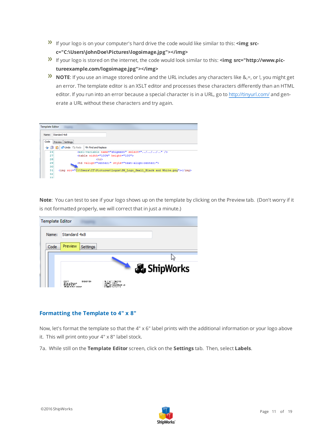- **If your logo is on your computer's hard drive the code would like similar to this: <b><img srcc="C:\Users\JohnDoe\Pictures\logoimage.jpg"></img>**
- <sup>1</sup> If your logo is stored on the internet, the code would look similar to this: **<img src="http://www.pictureexample.com/logoimage.jpg"></img>**
- **NOTE:** If you use an image stored online and the URL includes any characters like &,=, or !, you might get an error. The template editor is an XSLT editor and processes these characters differently than an HTML editor. If you run into an error because a special character is in a URL, go to <http://tinyurl.com/> and generate a URL without these characters and try again.

| <b>Template Editor</b> |                                                                           |  |
|------------------------|---------------------------------------------------------------------------|--|
| Name:                  | Standard 4x8                                                              |  |
| Code                   | Preview Settings                                                          |  |
|                        | + B C M Undo Cu Redo   % Find and Replace                                 |  |
| 26                     | <xsl:variable name="shipment" select="///"></xsl:variable>                |  |
| 27                     | <table height="100" width="100%"></table>                                 |  |
| 28 <sub>1</sub>        | くもとう                                                                      |  |
| 29                     | <td style="text-align:center;" valign="center;"></td>                     |  |
| 30 <sup>1</sup>        |                                                                           |  |
| 31                     | <img src="C:\Users\IT\Pictures\Logos\SW Logo Small Black and White.png"/> |  |
| 32                     |                                                                           |  |
| 33                     |                                                                           |  |

**Note**: You can test to see if your logo shows up on the template by clicking on the Preview tab. (Don't worry if it is not formatted properly, we will correct that in just a minute.)

| <b>Template Editor</b> |              |                 |           |
|------------------------|--------------|-----------------|-----------|
| Name:                  | Standard 4x8 |                 |           |
| Code                   | Preview      | <b>Settings</b> |           |
|                        |              |                 |           |
|                        |              |                 | ShipWorks |
|                        |              | 10062677784     |           |

## <span id="page-10-0"></span>**Formatting the Template to 4" x 8"**

Now, let's format the template so that the 4" x 6" label prints with the additional information or your logo above it. This will print onto your 4" x 8" label stock.

7a. While still on the **Template Editor** screen, click on the **Settings** tab. Then, select **Labels**.

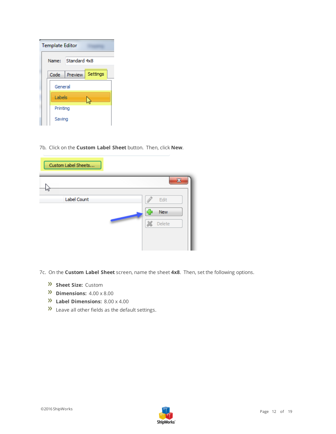| <b>Template Editor</b> |         |          |  |
|------------------------|---------|----------|--|
| Standard 4x8<br>Name:  |         |          |  |
| Code                   | Preview | Settings |  |
| General                |         |          |  |
| Labels                 |         |          |  |
| Printing               |         |          |  |
| Saving                 |         |          |  |

7b. Click on the **Custom Label Sheet** button. Then, click **New**.

| Custom Label Sheets |                         |
|---------------------|-------------------------|
| ۸ī                  | $\overline{\mathbf{x}}$ |
| Label Count         | Edit                    |
|                     | New                     |
|                     | Delete                  |
|                     |                         |

7c. On the **Custom Label Sheet** screen, name the sheet **4x8**. Then, set the following options.

- **Sheet Size:** Custom
- **Dimensions:**  $4.00 \times 8.00$
- **Label Dimensions:** 8.00 x 4.00
- **>>** Leave all other fields as the default settings.

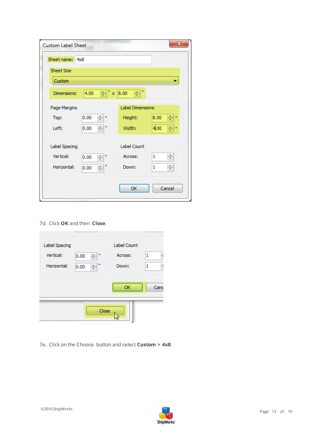| $\mathbf{x}$<br><b>Custom Label Sheet</b> |                |                                 |                |  |
|-------------------------------------------|----------------|---------------------------------|----------------|--|
| Sheet name: 4x8                           |                |                                 |                |  |
| <b>Sheet Size</b>                         |                |                                 |                |  |
| Custom                                    |                |                                 |                |  |
| Dimensions:                               | 싂<br>4.00      | ÷<br>8.00<br>$\bar{\mathbf{x}}$ |                |  |
| Page Margins                              |                | <b>Label Dimensions</b>         |                |  |
| Top:                                      | ÷<br>0.00<br>× | Height:                         | 8.00<br>÷<br>× |  |
| Left:                                     | ÷<br>0.00      | Width:                          | 4,00<br>÷<br>m |  |
| Label Spacing                             |                | Label Count                     |                |  |
| Vertical:                                 | ×<br>0.00<br>÷ | Across:                         | ÷<br>1         |  |
| Horizontal:                               | ÷<br>0.00      | Down:                           | ÷<br>1         |  |
|                                           |                |                                 |                |  |
|                                           |                | OK                              | Cancel         |  |
|                                           |                |                                 |                |  |

#### 7d. Click **OK** and then **Close**.

| Label Spacing |                | Label Count |        |
|---------------|----------------|-------------|--------|
| Vertical:     | ÷<br>m<br>0.00 | Across:     | 1<br>Ę |
| Horizontal:   | ×<br>÷<br>0.00 | Down:       | H<br>1 |
|               |                | OK          | Cand   |
|               |                |             |        |
| Close         |                |             |        |

7e. Click on the Choose button and select **Custom > 4x8**.

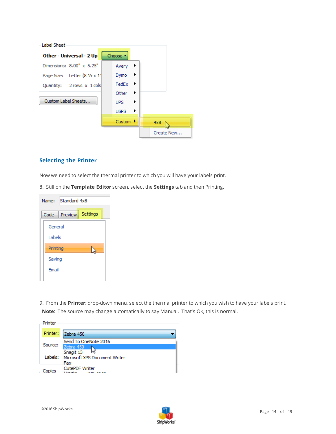| -Label Sheet                   |                       |            |
|--------------------------------|-----------------------|------------|
| Other - Universal - 2 Up       | Choose <b>v</b>       |            |
| Dimensions: 8.00" x 5.25"      | Avery $\rightarrow$   |            |
| Page Size: Letter (8 1/2 x 11) | Dymo $\rightarrow$    |            |
| Quantity: 2 rows x 1 cols      | $FedEx$ $\rightarrow$ |            |
|                                | Other $\rightarrow$   |            |
| Custom Label Sheets            | $UPS$ $\rightarrow$   |            |
|                                | $USPS \rightarrow$    |            |
|                                | Custom $\rightarrow$  | 4x8        |
|                                |                       | Create New |

## <span id="page-13-0"></span>**Selecting the Printer**

Now we need to select the thermal printer to which you will have your labels print.

8. Still on the **Template Editor** screen, select the **Settings** tab and then Printing.



9. From the **Printer**: drop-down menu, select the thermal printer to which you wish to have your labels print. **Note**: The source may change automatically to say Manual. That's OK, this is normal.

| Printer  |                                                |  |
|----------|------------------------------------------------|--|
| Printer: | Zebra 450                                      |  |
| Source:  | Send To OneNote 2016<br>Zebra 450<br>Snagit 13 |  |
| Labels:  | Microsoft XPS Document Writer<br>Fax           |  |
| Copies   | <b>CutePDF Writer</b>                          |  |

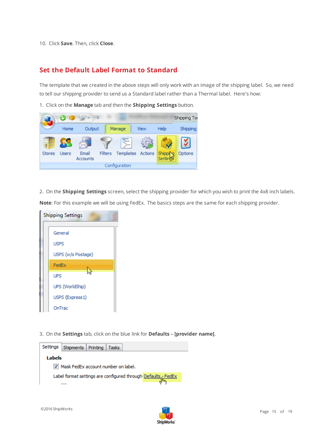<span id="page-14-0"></span>10. Click **Save**. Then, click **Close**.

## **Set the Default Label Format to Standard**

The template that we created in the above steps will only work with an image of the shipping label. So, we need to tell our shipping provider to send us a Standard label rather than a Thermal label. Here's how:

1. Click on the **Manage** tab and then the **Shipping Settings** button.



2. On the **Shipping Settings** screen, select the shipping provider for which you wish to print the 4x8 inch labels.

**Note**: For this example we will be using FedEx. The basics steps are the same for each shipping provider.

| <b>Shipping Settings</b> |  |  |  |
|--------------------------|--|--|--|
|                          |  |  |  |
| General                  |  |  |  |
| <b>USPS</b>              |  |  |  |
| USPS (w/o Postage)       |  |  |  |
| FedEx                    |  |  |  |
| <b>UPS</b>               |  |  |  |
| UPS (WorldShip)          |  |  |  |
| USPS (Express1)          |  |  |  |
| OnTrac                   |  |  |  |

3. On the **Settings** tab, click on the blue link for **Defaults - [provider name]**.



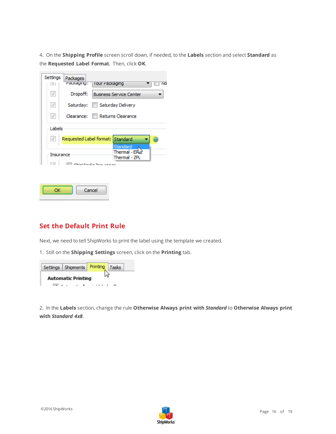4. On the **Shipping Profile** screen scroll down, if needed, to the **Labels** section and select **Standard** as the **Requested Label Format**. Then, click **OK**.

| Settings<br> V | Packages<br>PdCKdQING:           | Your Packaging    |                                             | <b>INO</b> |
|----------------|----------------------------------|-------------------|---------------------------------------------|------------|
| $\sqrt{}$      | Dropoff:                         |                   | <b>Business Service Center</b>              |            |
| $\sqrt{}$      | Saturday:                        |                   | Saturday Delivery                           |            |
| $\sqrt{ }$     | Clearance:                       | Returns Clearance |                                             |            |
| Labels         |                                  |                   |                                             |            |
| $\sqrt{}$      | Requested Label format: Standard |                   |                                             |            |
| Insurance      |                                  |                   | Standard<br>Thermal - EP4S<br>Thermal - ZPL |            |
|                |                                  |                   |                                             |            |
|                |                                  |                   |                                             |            |
| ОК             |                                  | Cancel            |                                             |            |

# <span id="page-15-0"></span>**Set the Default Print Rule**

Next, we need to tell ShipWorks to print the label using the template we created.

1. Still on the **Shipping Settings** screen, click on the **Printing** tab.



2. In the **Labels** section, change the rule **Otherwise Always print with** *Standard* to **Otherwise Always print with** *Standard 4x8*.

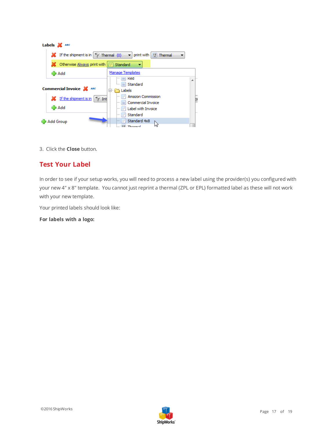

<span id="page-16-0"></span>3. Click the **Close** button.

# **Test Your Label**

In order to see if your setup works, you will need to process a new label using the provider(s) you configured with your new 4" x 8" template. You cannot just reprint a thermal (ZPL or EPL) formatted label as these will not work with your new template.

Your printed labels should look like:

**For labels with a logo:**

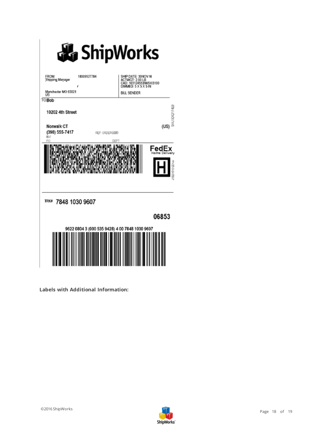| <b>&amp; ShipWorks</b>                                                      |                                                                                                     |
|-----------------------------------------------------------------------------|-----------------------------------------------------------------------------------------------------|
| FROM:<br>18009527784<br>Shipping Manager<br>ı                               | SHIP DATE: 30NOV16<br>ACTWGT: 2.00 LB<br>CAD: 103124553/WSX13100<br>$DMMED: 5 \times 5 \times 5 IN$ |
| Manchester MO 63021<br>US                                                   | BILL SENDER                                                                                         |
| <b>TOBob</b>                                                                |                                                                                                     |
| 10202 4th Street                                                            |                                                                                                     |
| Norwalk CT<br>(398) 555-7417<br>REF: 0RDER6009<br><b>INV</b><br>PO.<br>DEPT | (US)                                                                                                |
|                                                                             | FedEx<br>Home Delivery                                                                              |
| TRK#<br>7848 1030 9607                                                      |                                                                                                     |
|                                                                             | 06853                                                                                               |
| 9622 0804 3 (000 535 9428) 4 00 7848 1030 9607                              |                                                                                                     |
|                                                                             |                                                                                                     |

**Labels with Additional Information:**